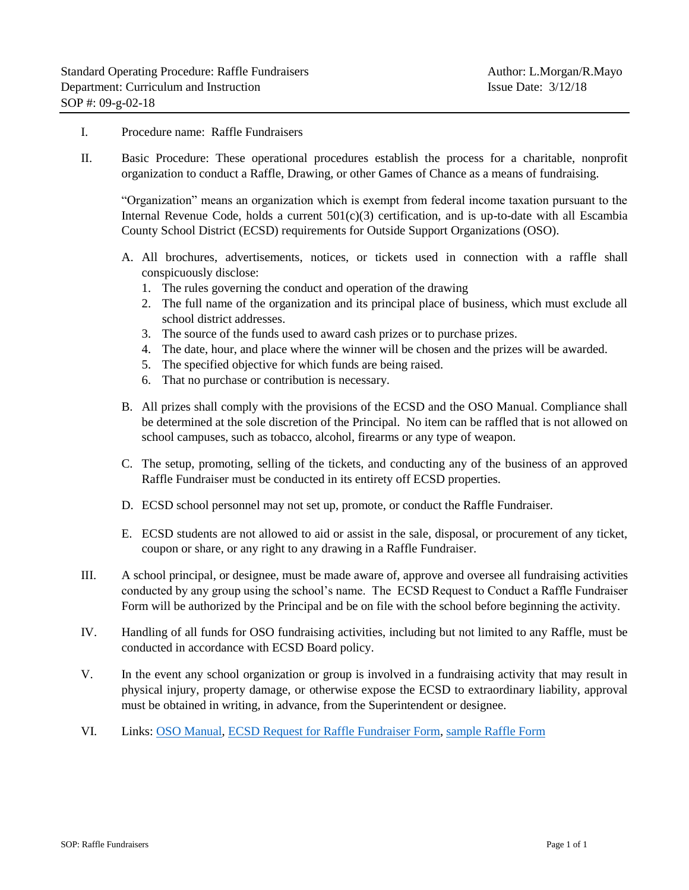## I. Procedure name: Raffle Fundraisers

II. Basic Procedure: These operational procedures establish the process for a charitable, nonprofit organization to conduct a Raffle, Drawing, or other Games of Chance as a means of fundraising.

"Organization" means an organization which is exempt from federal income taxation pursuant to the Internal Revenue Code, holds a current  $501(c)(3)$  certification, and is up-to-date with all Escambia County School District (ECSD) requirements for Outside Support Organizations (OSO).

- A. All brochures, advertisements, notices, or tickets used in connection with a raffle shall conspicuously disclose:
	- 1. The rules governing the conduct and operation of the drawing
	- 2. The full name of the organization and its principal place of business, which must exclude all school district addresses.
	- 3. The source of the funds used to award cash prizes or to purchase prizes.
	- 4. The date, hour, and place where the winner will be chosen and the prizes will be awarded.
	- 5. The specified objective for which funds are being raised.
	- 6. That no purchase or contribution is necessary.
- B. All prizes shall comply with the provisions of the ECSD and the OSO Manual. Compliance shall be determined at the sole discretion of the Principal. No item can be raffled that is not allowed on school campuses, such as tobacco, alcohol, firearms or any type of weapon.
- C. The setup, promoting, selling of the tickets, and conducting any of the business of an approved Raffle Fundraiser must be conducted in its entirety off ECSD properties.
- D. ECSD school personnel may not set up, promote, or conduct the Raffle Fundraiser.
- E. ECSD students are not allowed to aid or assist in the sale, disposal, or procurement of any ticket, coupon or share, or any right to any drawing in a Raffle Fundraiser.
- III. A school principal, or designee, must be made aware of, approve and oversee all fundraising activities conducted by any group using the school's name. The ECSD Request to Conduct a Raffle Fundraiser Form will be authorized by the Principal and be on file with the school before beginning the activity.
- IV. Handling of all funds for OSO fundraising activities, including but not limited to any Raffle, must be conducted in accordance with ECSD Board policy.
- V. In the event any school organization or group is involved in a fundraising activity that may result in physical injury, property damage, or otherwise expose the ECSD to extraordinary liability, approval must be obtained in writing, in advance, from the Superintendent or designee.
- VI. Links: [OSO Manual,](https://drive.google.com/open?id=1ho9aaU1nvEDmG1ge7xDd5UgaVtDZ79y8) [ECSD Request for Raffle Fundraiser Form,](https://docs.google.com/document/d/1w-AfQUVIu8seGMALPXwoYvYmJGxSgIADy8VbZYv15Hk/edit?usp=sharing) [sample Raffle Form](https://drive.google.com/open?id=1zWL-ZzKrsWh83JZy3aoWyBn_qHqpC0Ju)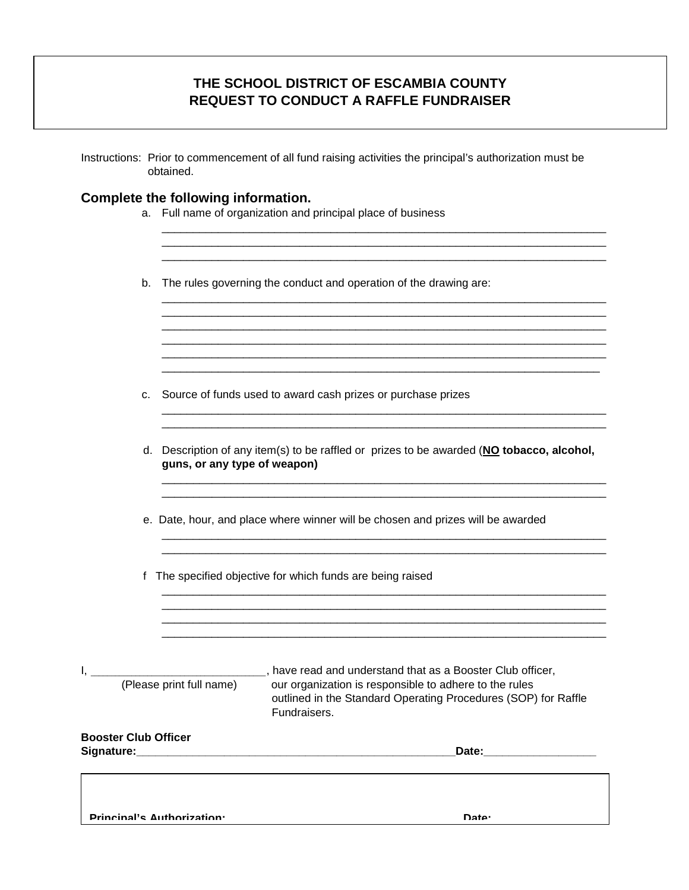## **THE SCHOOL DISTRICT OF ESCAMBIA COUNTY REQUEST TO CONDUCT A RAFFLE FUNDRAISER**

| <b>Booster Club Officer</b> |                                                                                                                           | Date:____________________                                                                                                                                                                                                              |
|-----------------------------|---------------------------------------------------------------------------------------------------------------------------|----------------------------------------------------------------------------------------------------------------------------------------------------------------------------------------------------------------------------------------|
| (Please print full name)    |                                                                                                                           | ________________________________, have read and understand that as a Booster Club officer,<br>our organization is responsible to adhere to the rules<br>outlined in the Standard Operating Procedures (SOP) for Raffle<br>Fundraisers. |
| f                           |                                                                                                                           | The specified objective for which funds are being raised                                                                                                                                                                               |
|                             |                                                                                                                           | e. Date, hour, and place where winner will be chosen and prizes will be awarded                                                                                                                                                        |
|                             | d. Description of any item(s) to be raffled or prizes to be awarded (NO tobacco, alcohol,<br>guns, or any type of weapon) |                                                                                                                                                                                                                                        |
| c.                          |                                                                                                                           | Source of funds used to award cash prizes or purchase prizes                                                                                                                                                                           |
|                             |                                                                                                                           |                                                                                                                                                                                                                                        |
| b.                          |                                                                                                                           | The rules governing the conduct and operation of the drawing are:                                                                                                                                                                      |
| a.                          |                                                                                                                           | Full name of organization and principal place of business                                                                                                                                                                              |
|                             |                                                                                                                           | Complete the following information.                                                                                                                                                                                                    |

**Principal's Authorization: Date:**